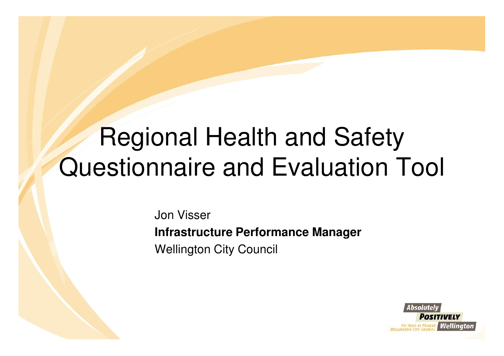# Regional Health and Safety Questionnaire and Evaluation Tool

Jon Visser**Infrastructure Performance Manager**Wellington City Council

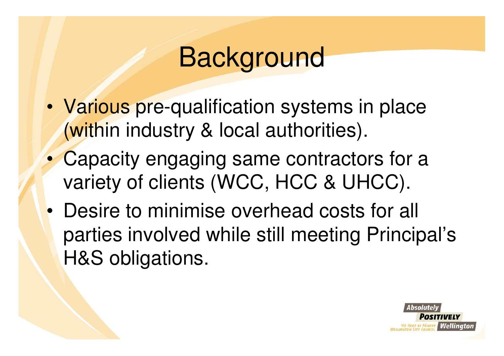# Background

- • Various pre-qualification systems in place (within industry & local authorities).
- • Capacity engaging same contractors for a variety of clients (WCC, HCC & UHCC).
- • Desire to minimise overhead costs for all parties involved while still meeting Principal's H&S obligations.

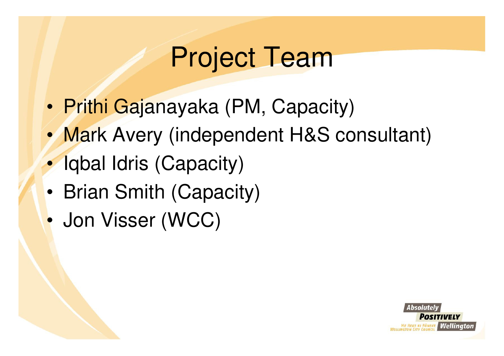# Project Team

- •Prithi Gajanayaka (PM, Capacity)
- •Mark Avery (independent H&S consultant)
- $\bullet$ Iqbal Idris (Capacity)
- •Brian Smith (Capacity)
- •Jon Visser (WCC)

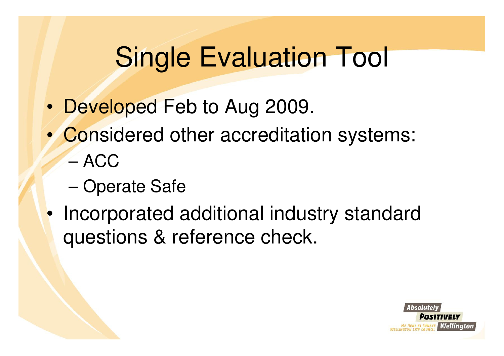# Single Evaluation Tool

- •Developed Feb to Aug 2009.
- • Considered other accreditation systems:
	- –ACC
	- Operate Safe
- • Incorporated additional industry standard questions & reference check.

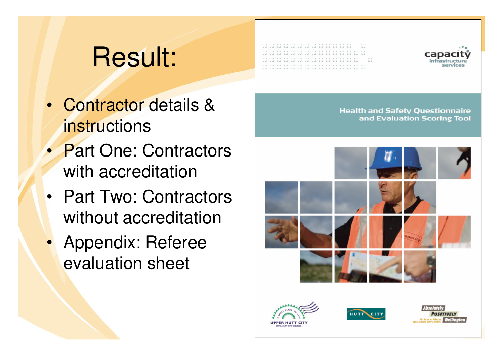# Result:

- Contractor details & **instructions**
- Part One: Contractors with accreditation
- Part Two: Contractors without accreditation
- Appendix: Referee evaluation sheet







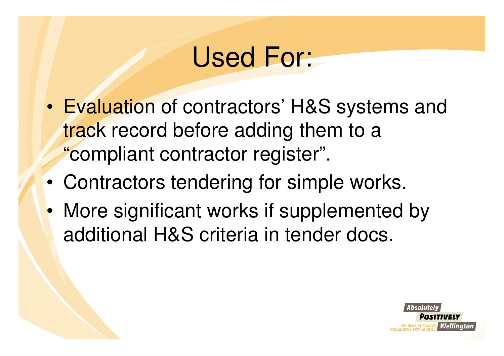#### Used For:

- • Evaluation of contractors' H&S systems and track record before adding them to a "compliant contractor register".
- •Contractors tendering for simple works.
- • More significant works if supplemented by additional H&S criteria in tender docs.